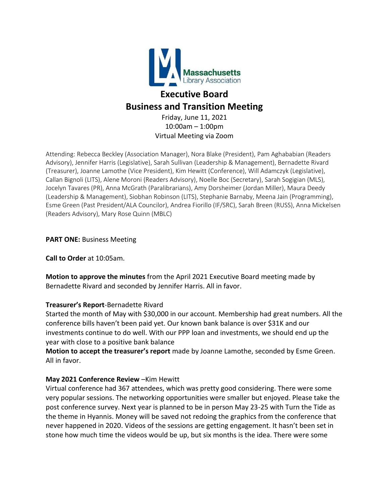

# **Executive Board Business and Transition Meeting**

Friday, June 11, 2021 10:00am – 1:00pm Virtual Meeting via Zoom

Attending: Rebecca Beckley (Association Manager), Nora Blake (President), Pam Aghababian (Readers Advisory), Jennifer Harris (Legislative), Sarah Sullivan (Leadership & Management), Bernadette Rivard (Treasurer), Joanne Lamothe (Vice President), Kim Hewitt (Conference), Will Adamczyk (Legislative), Callan Bignoli (LITS), Alene Moroni (Readers Advisory), Noelle Boc (Secretary), Sarah Sogigian (MLS), Jocelyn Tavares (PR), Anna McGrath (Paralibrarians), Amy Dorsheimer (Jordan Miller), Maura Deedy (Leadership & Management), Siobhan Robinson (LITS), Stephanie Barnaby, Meena Jain (Programming), Esme Green (Past President/ALA Councilor), Andrea Fiorillo (IF/SRC), Sarah Breen (RUSS), Anna Mickelsen (Readers Advisory), Mary Rose Quinn (MBLC)

## **PART ONE:** Business Meeting

**Call to Order** at 10:05am.

**Motion to approve the minutes** from the April 2021 Executive Board meeting made by Bernadette Rivard and seconded by Jennifer Harris. All in favor.

## **Treasurer's Report**-Bernadette Rivard

Started the month of May with \$30,000 in our account. Membership had great numbers. All the conference bills haven't been paid yet. Our known bank balance is over \$31K and our investments continue to do well. With our PPP loan and investments, we should end up the year with close to a positive bank balance

**Motion to accept the treasurer's report** made by Joanne Lamothe, seconded by Esme Green. All in favor.

## **May 2021 Conference Review** –Kim Hewitt

Virtual conference had 367 attendees, which was pretty good considering. There were some very popular sessions. The networking opportunities were smaller but enjoyed. Please take the post conference survey. Next year is planned to be in person May 23-25 with Turn the Tide as the theme in Hyannis. Money will be saved not redoing the graphics from the conference that never happened in 2020. Videos of the sessions are getting engagement. It hasn't been set in stone how much time the videos would be up, but six months is the idea. There were some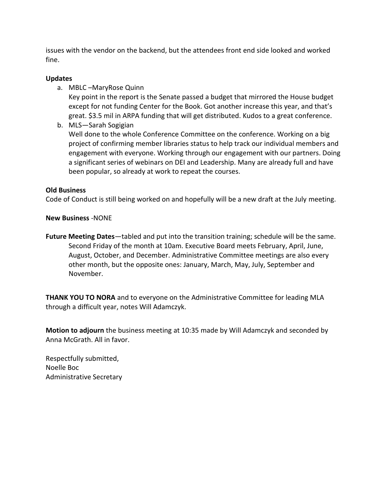issues with the vendor on the backend, but the attendees front end side looked and worked fine.

## **Updates**

a. MBLC –MaryRose Quinn

Key point in the report is the Senate passed a budget that mirrored the House budget except for not funding Center for the Book. Got another increase this year, and that's great. \$3.5 mil in ARPA funding that will get distributed. Kudos to a great conference.

b. MLS—Sarah Sogigian

Well done to the whole Conference Committee on the conference. Working on a big project of confirming member libraries status to help track our individual members and engagement with everyone. Working through our engagement with our partners. Doing a significant series of webinars on DEI and Leadership. Many are already full and have been popular, so already at work to repeat the courses.

#### **Old Business**

Code of Conduct is still being worked on and hopefully will be a new draft at the July meeting.

#### **New Business** -NONE

**Future Meeting Dates**—tabled and put into the transition training; schedule will be the same. Second Friday of the month at 10am. Executive Board meets February, April, June, August, October, and December. Administrative Committee meetings are also every other month, but the opposite ones: January, March, May, July, September and November.

**THANK YOU TO NORA** and to everyone on the Administrative Committee for leading MLA through a difficult year, notes Will Adamczyk.

**Motion to adjourn** the business meeting at 10:35 made by Will Adamczyk and seconded by Anna McGrath. All in favor.

Respectfully submitted, Noelle Boc Administrative Secretary